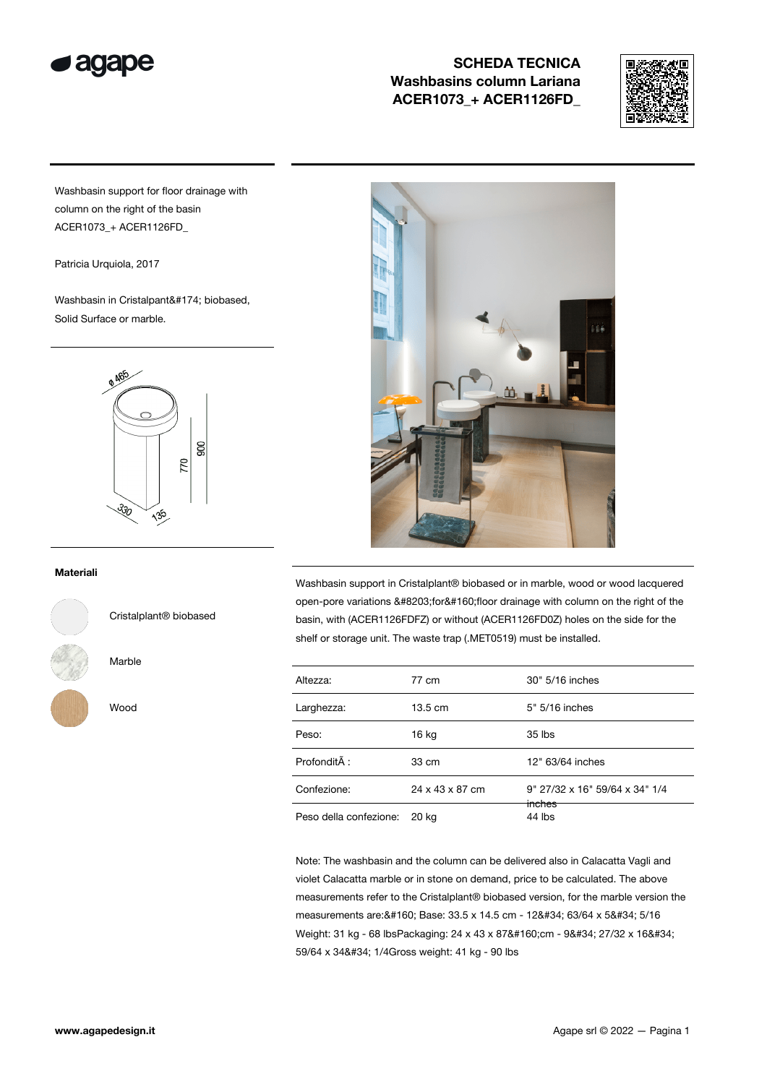

# SCHEDA TECNICA Washbasins column Lariana ACER1073\_+ ACER1126FD\_



Washbasin support for floor drainage with column on the right of the basin ACER1073\_+ ACER1126FD\_

Patricia Urquiola, 2017

Washbasin in Cristalpant® biobased, Solid Surface or marble.



#### Materiali



Cristalplant® biobased

Marble

Wood



Washbasin support in Cristalplant® biobased or in marble, wood or wood lacquered open-pore variations ​for floor drainage with column on the right of the basin, with (ACER1126FDFZ) or without (ACER1126FD0Z) holes on the side for the shelf or storage unit. The waste trap (.MET0519) must be installed.

| Altezza:               | 77 cm             | 30" 5/16 inches                |  |
|------------------------|-------------------|--------------------------------|--|
| Larghezza:             | $13.5 \text{ cm}$ | 5" 5/16 inches                 |  |
| Peso:                  | 16 kg             | $35$ lbs                       |  |
| ProfonditÃ:            | 33 cm             | 12" 63/64 inches               |  |
| Confezione:            | 24 x 43 x 87 cm   | 9" 27/32 x 16" 59/64 x 34" 1/4 |  |
| Peso della confezione: | 20 kg             | inches<br>44 lbs               |  |

Note: The washbasin and the column can be delivered also in Calacatta Vagli and violet Calacatta marble or in stone on demand, price to be calculated. The above measurements refer to the Cristalplant® biobased version, for the marble version the measurements are: 8#160; Base: 33.5 x 14.5 cm - 128#34; 63/64 x 58#34; 5/16 Weight: 31 kg - 68 lbsPackaging: 24 x 43 x 87 cm - 9" 27/32 x 16" 59/64 x 34" 1/4Gross weight: 41 kg - 90 lbs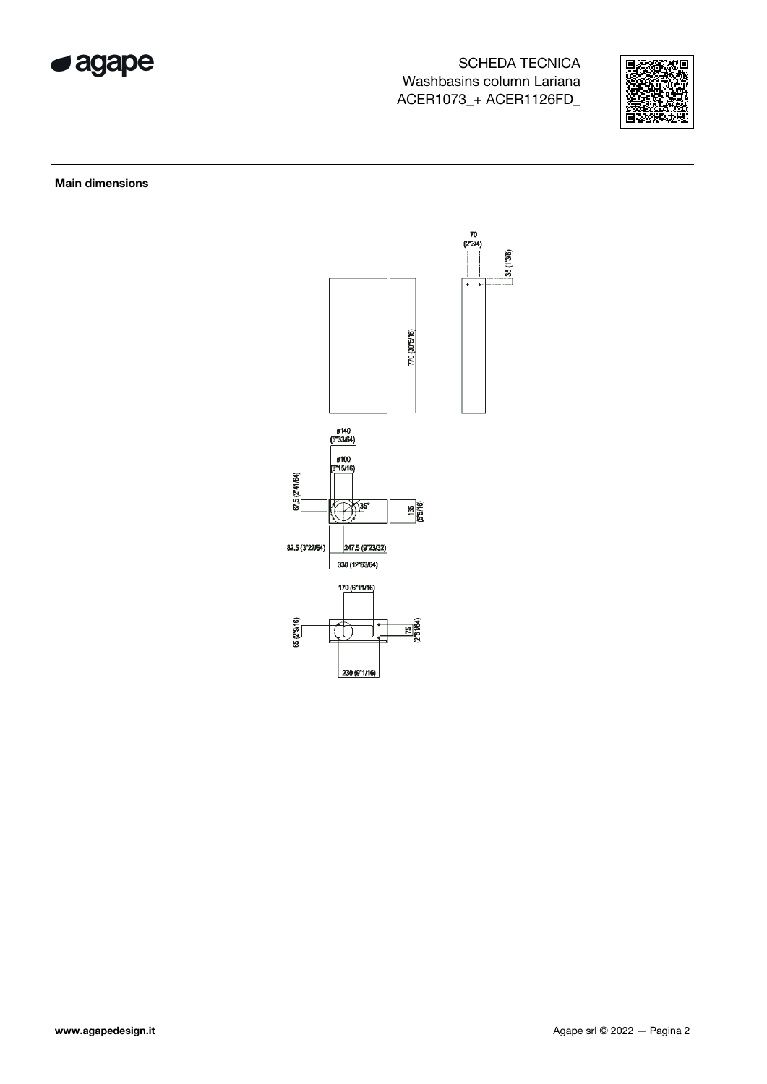

# **SCHEDA TECNICA** Washbasins column Lariana ACER1073\_+ ACER1126FD\_



**Main dimensions**